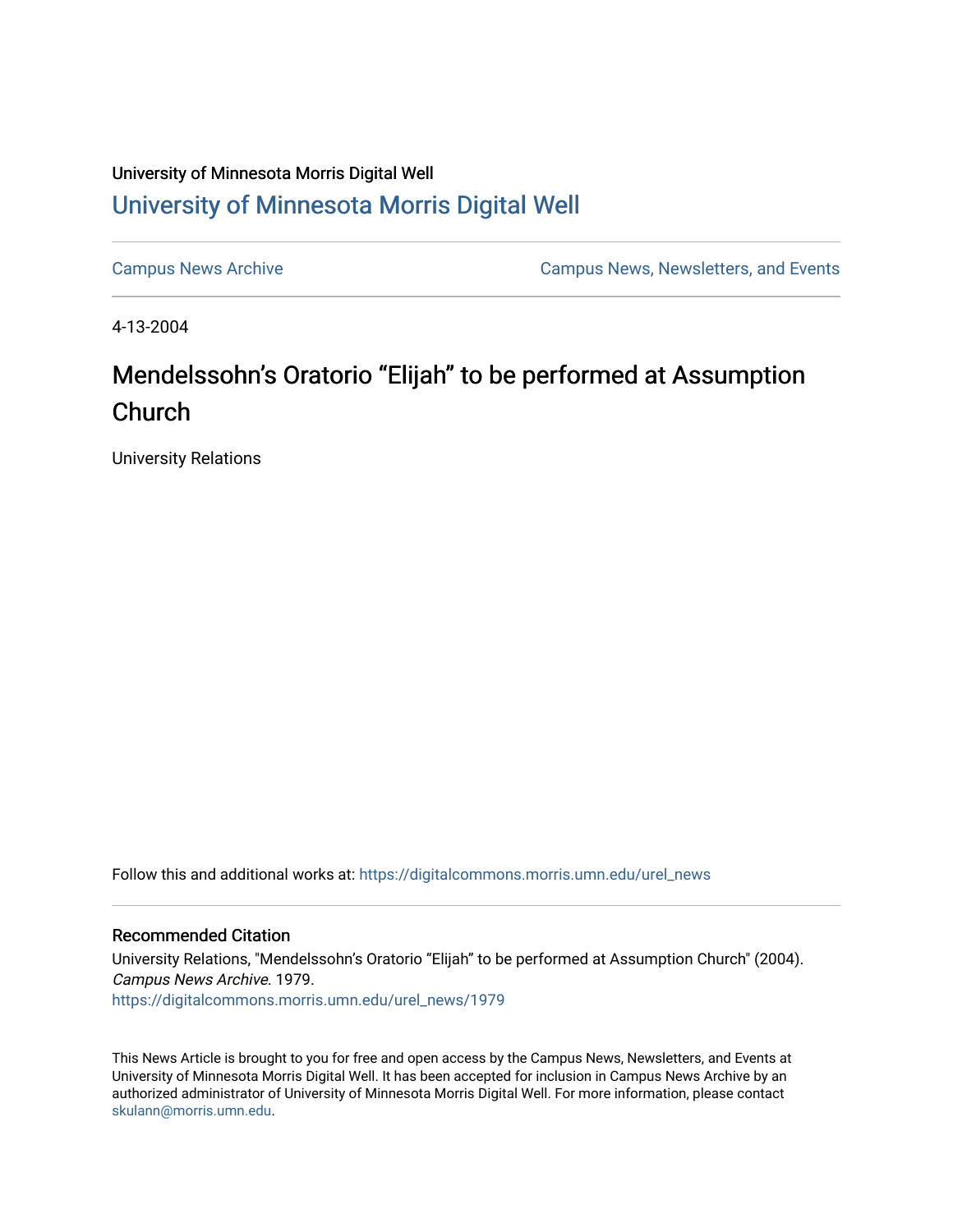## University of Minnesota Morris Digital Well [University of Minnesota Morris Digital Well](https://digitalcommons.morris.umn.edu/)

[Campus News Archive](https://digitalcommons.morris.umn.edu/urel_news) [Campus News, Newsletters, and Events](https://digitalcommons.morris.umn.edu/externalrel) 

4-13-2004

## Mendelssohn's Oratorio "Elijah" to be performed at Assumption Church

University Relations

Follow this and additional works at: [https://digitalcommons.morris.umn.edu/urel\\_news](https://digitalcommons.morris.umn.edu/urel_news?utm_source=digitalcommons.morris.umn.edu%2Furel_news%2F1979&utm_medium=PDF&utm_campaign=PDFCoverPages) 

## Recommended Citation

University Relations, "Mendelssohn's Oratorio "Elijah" to be performed at Assumption Church" (2004). Campus News Archive. 1979. [https://digitalcommons.morris.umn.edu/urel\\_news/1979](https://digitalcommons.morris.umn.edu/urel_news/1979?utm_source=digitalcommons.morris.umn.edu%2Furel_news%2F1979&utm_medium=PDF&utm_campaign=PDFCoverPages) 

This News Article is brought to you for free and open access by the Campus News, Newsletters, and Events at University of Minnesota Morris Digital Well. It has been accepted for inclusion in Campus News Archive by an authorized administrator of University of Minnesota Morris Digital Well. For more information, please contact [skulann@morris.umn.edu.](mailto:skulann@morris.umn.edu)